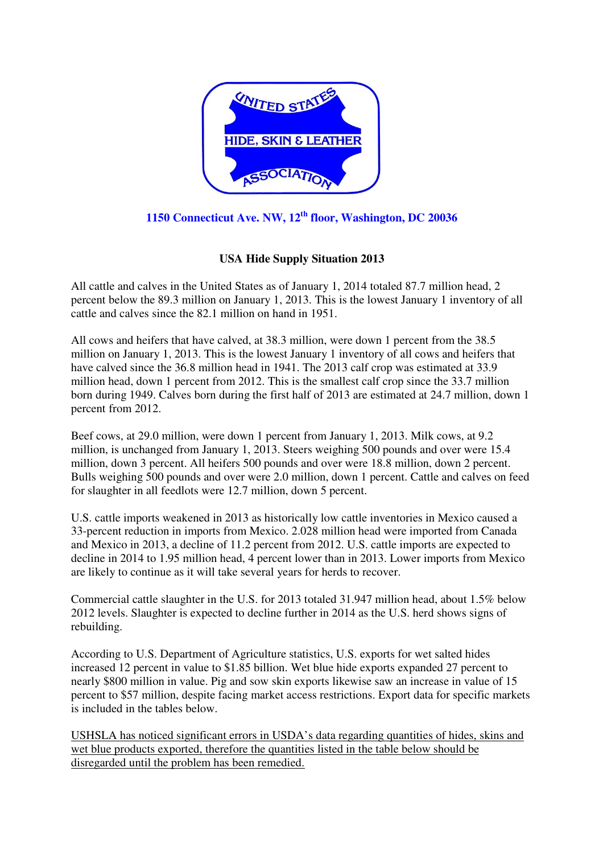

**1150 Connecticut Ave. NW, 12th floor, Washington, DC 20036** 

#### **USA Hide Supply Situation 2013**

All cattle and calves in the United States as of January 1, 2014 totaled 87.7 million head, 2 percent below the 89.3 million on January 1, 2013. This is the lowest January 1 inventory of all cattle and calves since the 82.1 million on hand in 1951.

All cows and heifers that have calved, at 38.3 million, were down 1 percent from the 38.5 million on January 1, 2013. This is the lowest January 1 inventory of all cows and heifers that have calved since the 36.8 million head in 1941. The 2013 calf crop was estimated at 33.9 million head, down 1 percent from 2012. This is the smallest calf crop since the 33.7 million born during 1949. Calves born during the first half of 2013 are estimated at 24.7 million, down 1 percent from 2012.

Beef cows, at 29.0 million, were down 1 percent from January 1, 2013. Milk cows, at 9.2 million, is unchanged from January 1, 2013. Steers weighing 500 pounds and over were 15.4 million, down 3 percent. All heifers 500 pounds and over were 18.8 million, down 2 percent. Bulls weighing 500 pounds and over were 2.0 million, down 1 percent. Cattle and calves on feed for slaughter in all feedlots were 12.7 million, down 5 percent.

U.S. cattle imports weakened in 2013 as historically low cattle inventories in Mexico caused a 33-percent reduction in imports from Mexico. 2.028 million head were imported from Canada and Mexico in 2013, a decline of 11.2 percent from 2012. U.S. cattle imports are expected to decline in 2014 to 1.95 million head, 4 percent lower than in 2013. Lower imports from Mexico are likely to continue as it will take several years for herds to recover.

Commercial cattle slaughter in the U.S. for 2013 totaled 31.947 million head, about 1.5% below 2012 levels. Slaughter is expected to decline further in 2014 as the U.S. herd shows signs of rebuilding.

According to U.S. Department of Agriculture statistics, U.S. exports for wet salted hides increased 12 percent in value to \$1.85 billion. Wet blue hide exports expanded 27 percent to nearly \$800 million in value. Pig and sow skin exports likewise saw an increase in value of 15 percent to \$57 million, despite facing market access restrictions. Export data for specific markets is included in the tables below.

USHSLA has noticed significant errors in USDA's data regarding quantities of hides, skins and wet blue products exported, therefore the quantities listed in the table below should be disregarded until the problem has been remedied.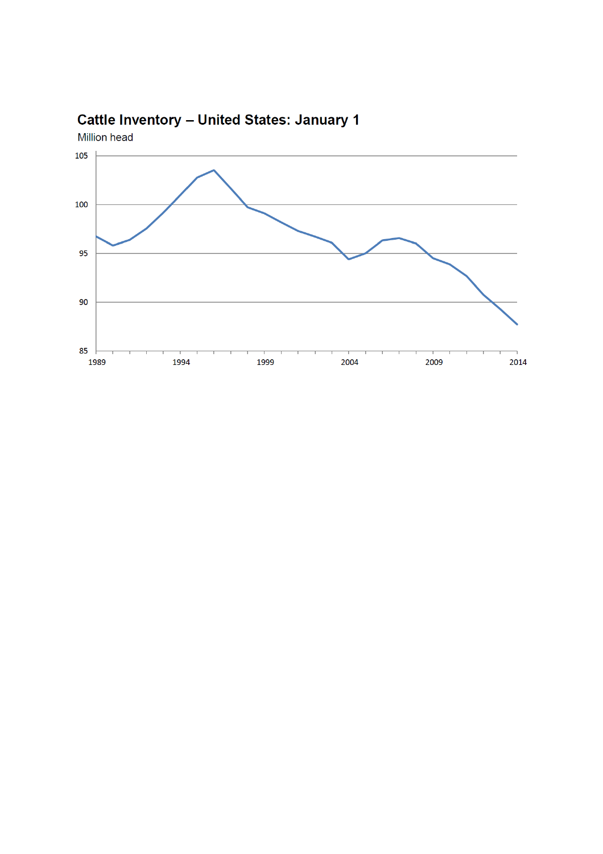

#### Cattle Inventory - United States: January 1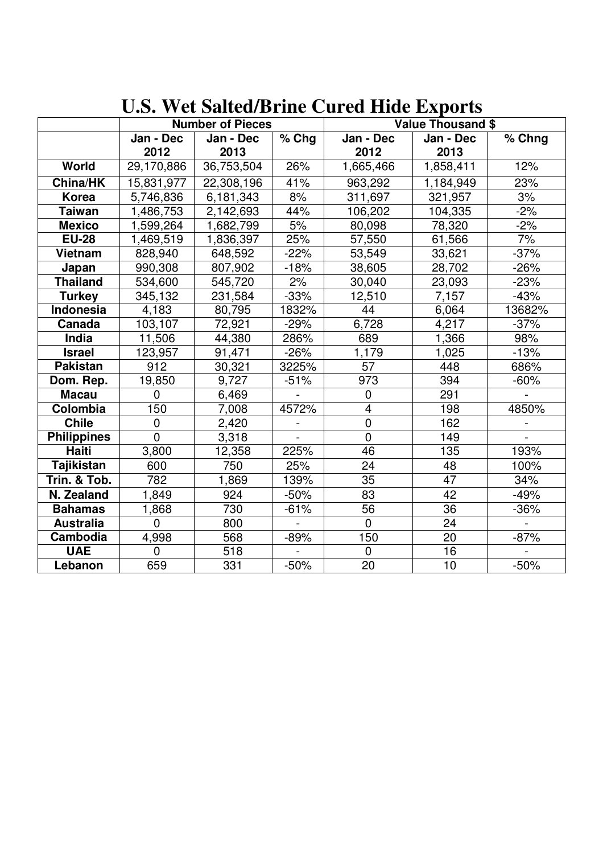|                    | <b>Number of Pieces</b> |            |                | <b>Value Thousand \$</b> |           |        |  |
|--------------------|-------------------------|------------|----------------|--------------------------|-----------|--------|--|
|                    | Jan - Dec               | Jan - Dec  | $\sqrt{9}$ Chg | Jan - Dec                | Jan - Dec | % Chng |  |
|                    | 2012                    | 2013       |                | 2012                     | 2013      |        |  |
| World              | 29,170,886              | 36,753,504 | 26%            | 1,665,466                | 1,858,411 | 12%    |  |
| China/HK           | 15,831,977              | 22,308,196 | 41%            | 963,292                  | 1,184,949 | 23%    |  |
| Korea              | 5,746,836               | 6,181,343  | 8%             | 311,697                  | 321,957   | 3%     |  |
| <b>Taiwan</b>      | 1,486,753               | 2,142,693  | 44%            | 106,202                  | 104,335   | $-2%$  |  |
| <b>Mexico</b>      | 1,599,264               | 1,682,799  | 5%             | 80,098                   | 78,320    | $-2%$  |  |
| <b>EU-28</b>       | 1,469,519               | 1,836,397  | 25%            | 57,550                   | 61,566    | 7%     |  |
| <b>Vietnam</b>     | 828,940                 | 648,592    | $-22%$         | 53,549                   | 33,621    | $-37%$ |  |
| Japan              | 990,308                 | 807,902    | $-18%$         | 38,605                   | 28,702    | $-26%$ |  |
| <b>Thailand</b>    | 534,600                 | 545,720    | 2%             | 30,040                   | 23,093    | $-23%$ |  |
| <b>Turkey</b>      | 345,132                 | 231,584    | $-33%$         | 12,510                   | 7,157     | $-43%$ |  |
| Indonesia          | 4,183                   | 80,795     | 1832%          | 44                       | 6,064     | 13682% |  |
| Canada             | 103,107                 | 72,921     | $-29%$         | 6,728                    | 4,217     | $-37%$ |  |
| India              | 11,506                  | 44,380     | 286%           | 689                      | 1,366     | 98%    |  |
| <b>Israel</b>      | 123,957                 | 91,471     | $-26%$         | 1,179                    | 1,025     | $-13%$ |  |
| <b>Pakistan</b>    | 912                     | 30,321     | 3225%          | 57                       | 448       | 686%   |  |
| Dom. Rep.          | 19,850                  | 9,727      | $-51%$         | 973                      | 394       | $-60%$ |  |
| <b>Macau</b>       | $\Omega$                | 6,469      |                | $\overline{0}$           | 291       |        |  |
| Colombia           | 150                     | 7,008      | 4572%          | $\overline{4}$           | 198       | 4850%  |  |
| <b>Chile</b>       | $\overline{0}$          | 2,420      |                | $\mathbf 0$              | 162       |        |  |
| <b>Philippines</b> | $\overline{0}$          | 3,318      |                | $\overline{0}$           | 149       |        |  |
| Haiti              | 3,800                   | 12,358     | 225%           | 46                       | 135       | 193%   |  |
| <b>Tajikistan</b>  | 600                     | 750        | 25%            | 24                       | 48        | 100%   |  |
| Trin. & Tob.       | 782                     | 1,869      | 139%           | 35                       | 47        | 34%    |  |
| N. Zealand         | 1,849                   | 924        | $-50%$         | 83                       | 42        | $-49%$ |  |
| <b>Bahamas</b>     | 1,868                   | 730        | $-61%$         | 56                       | 36        | $-36%$ |  |
| <b>Australia</b>   | $\Omega$                | 800        |                | $\overline{0}$           | 24        |        |  |
| Cambodia           | 4,998                   | 568        | $-89%$         | 150                      | 20        | $-87%$ |  |
| <b>UAE</b>         | $\mathbf 0$             | 518        |                | $\mathbf 0$              | 16        |        |  |
| Lebanon            | 659                     | 331        | $-50%$         | 20                       | 10        | $-50%$ |  |

## **U.S. Wet Salted/Brine Cured Hide Exports**